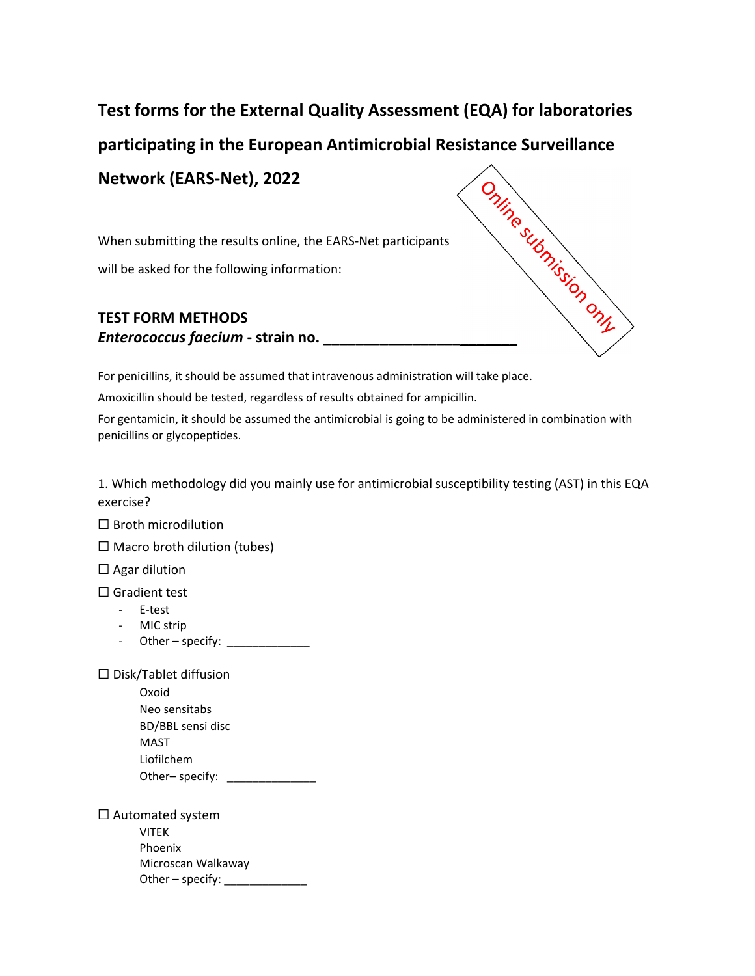## **Test forms for the External Quality Assessment (EQA) for laboratories participating in the European Antimicrobial Resistance Surveillance**<br> **Network (EARS-Net), 2022**<br> **Participants**<br> **Participants**<br> **Participants**<br> **Participants**<br> **Participants**<br> **Participants Network (EARS‐Net), 2022**

When submitting the results online, the EARS‐Net participants will be asked for the following information:

## **TEST FORM METHODS** *Enterococcus faecium* **‐ strain no. \_\_\_\_\_\_\_\_\_\_\_\_\_\_\_\_\_\_\_\_\_\_\_\_**

For penicillins, it should be assumed that intravenous administration will take place.

Amoxicillin should be tested, regardless of results obtained for ampicillin.

For gentamicin, it should be assumed the antimicrobial is going to be administered in combination with penicillins or glycopeptides.

1. Which methodology did you mainly use for antimicrobial susceptibility testing (AST) in this EQA exercise?

 $\Box$  Broth microdilution

 $\Box$  Macro broth dilution (tubes)

 $\Box$  Agar dilution

☐ Gradient test

- ‐ E‐test
- ‐ MIC strip
- Other specify:  $\sqrt{2\pi}$

 $\Box$  Disk/Tablet diffusion

Oxoid Neo sensitabs BD/BBL sensi disc MAST Liofilchem Other– specify:

□ Automated system VITEK Phoenix Microscan Walkaway Other – specify: \_\_\_\_\_\_\_\_\_\_\_\_\_